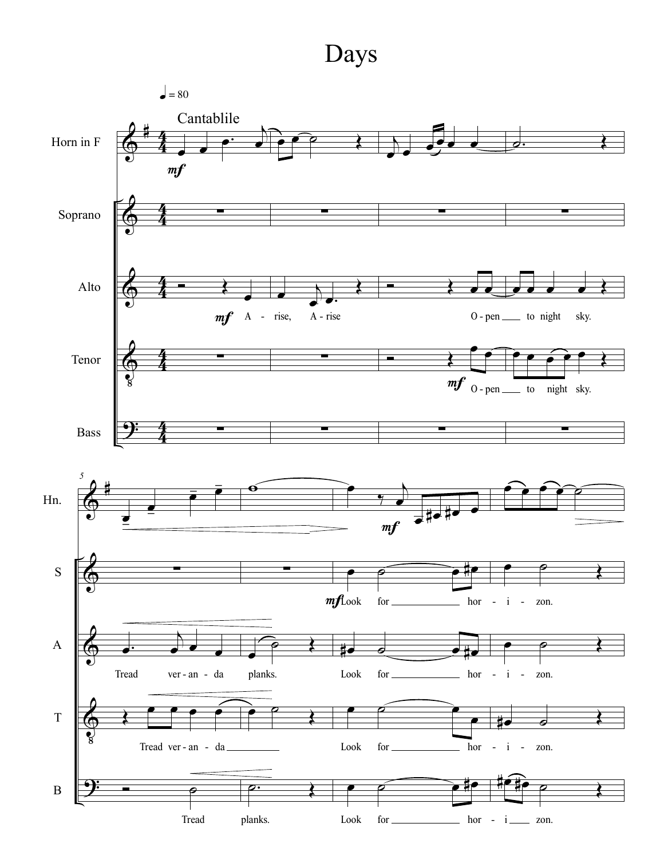## Days

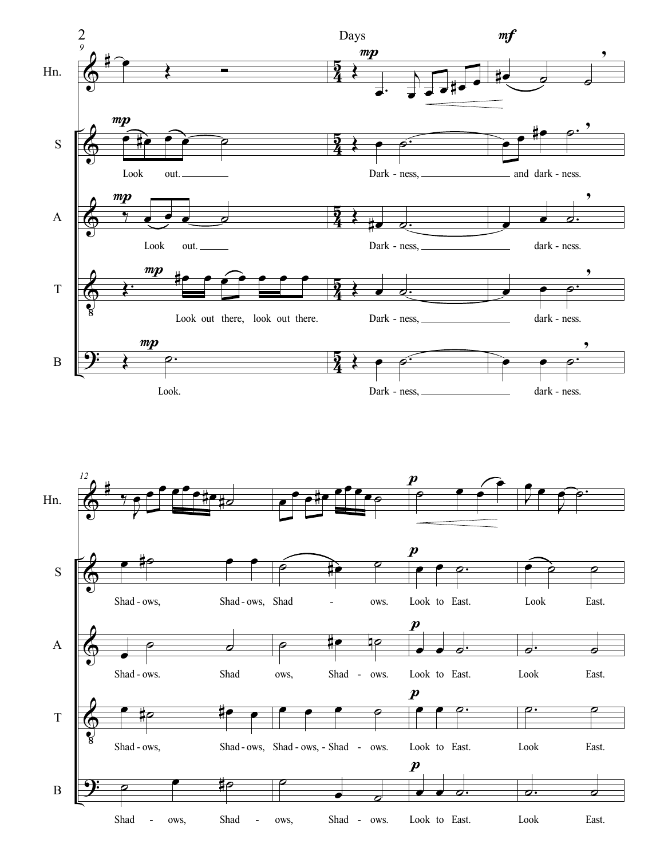

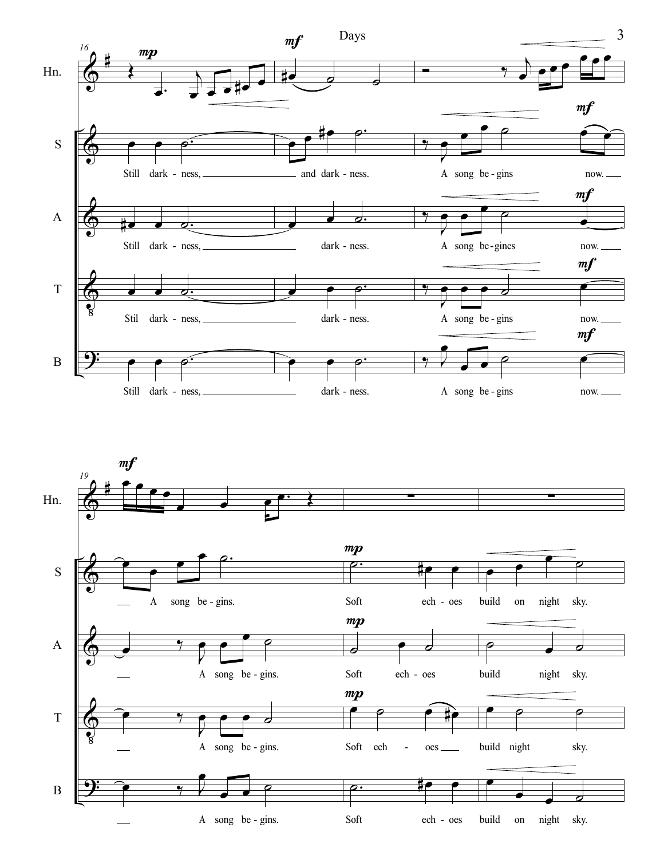

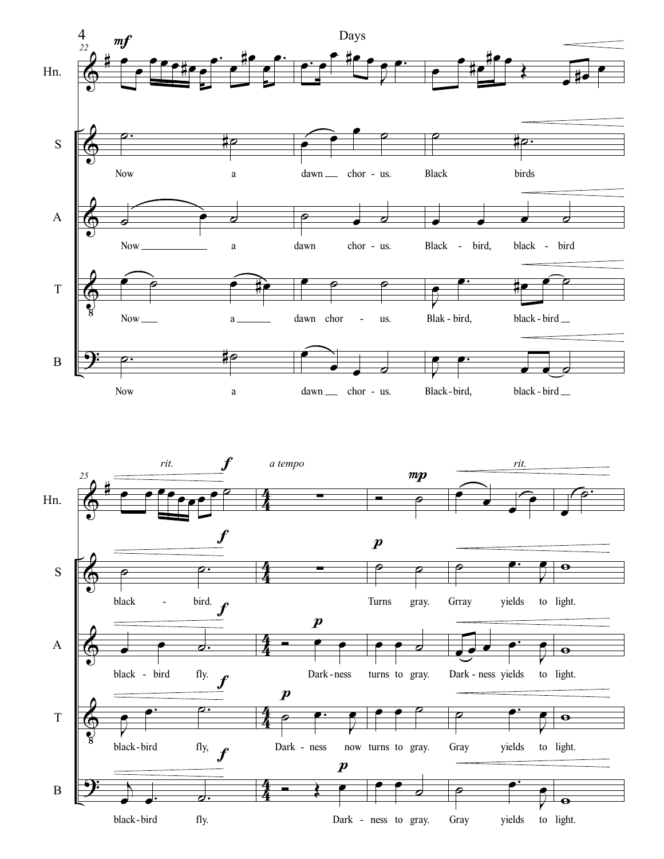

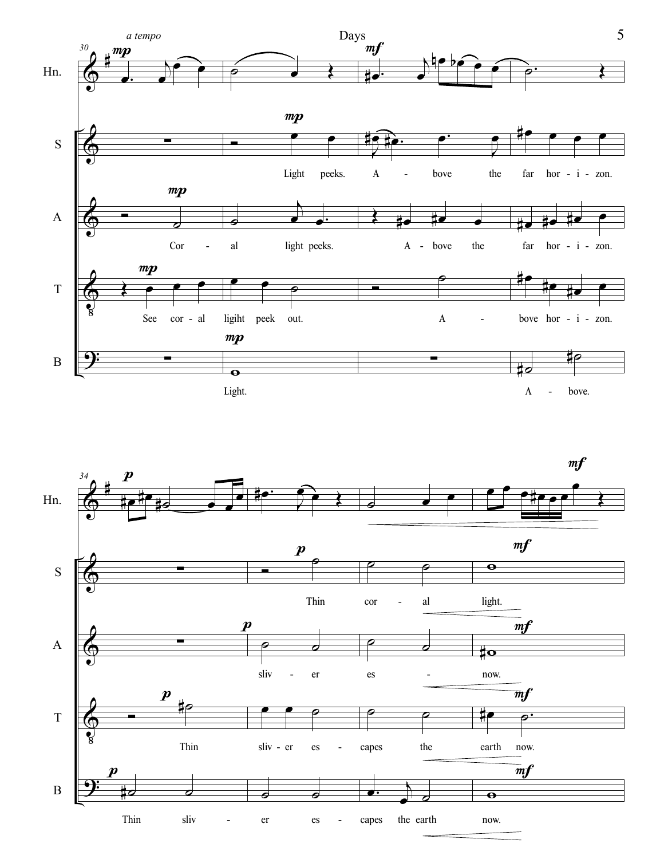



A bove. -

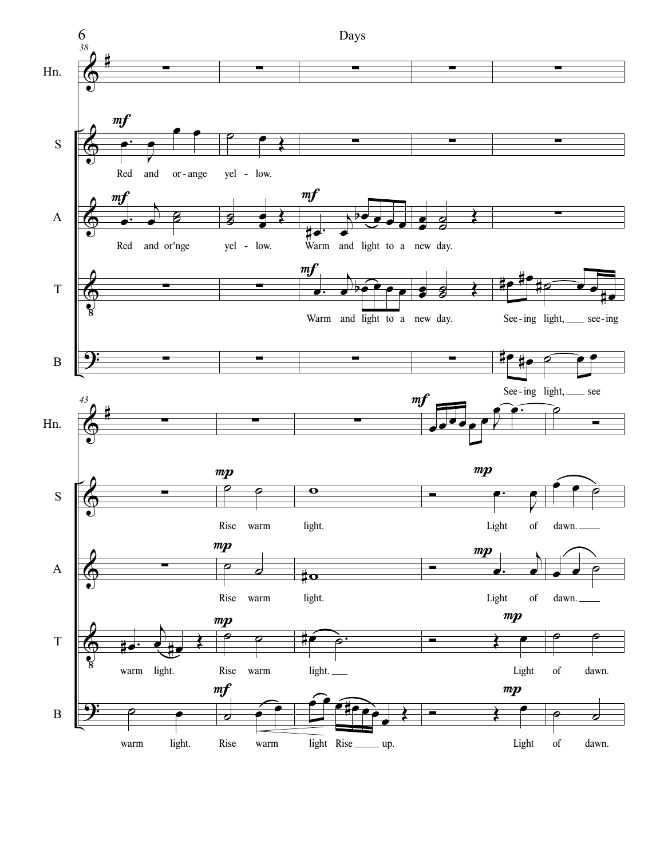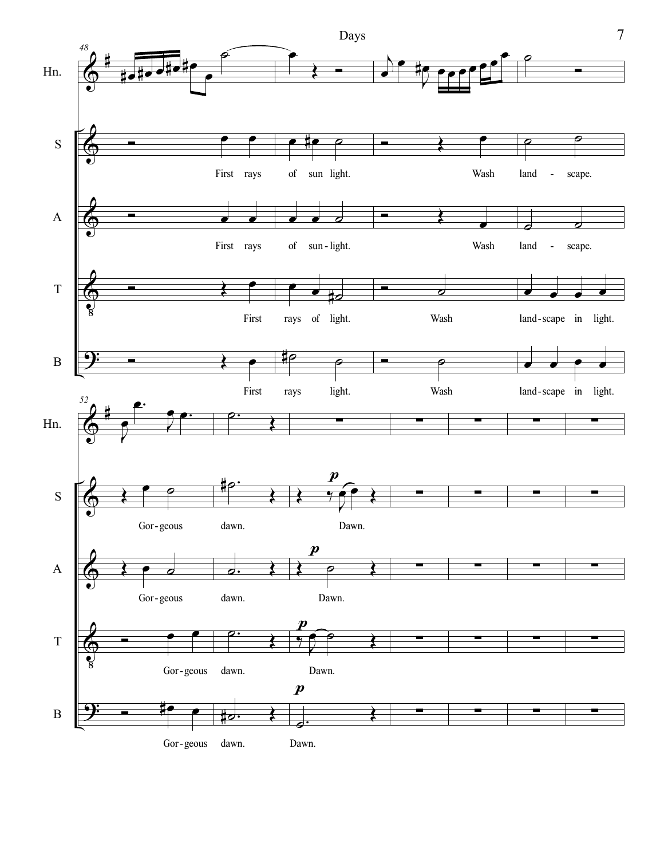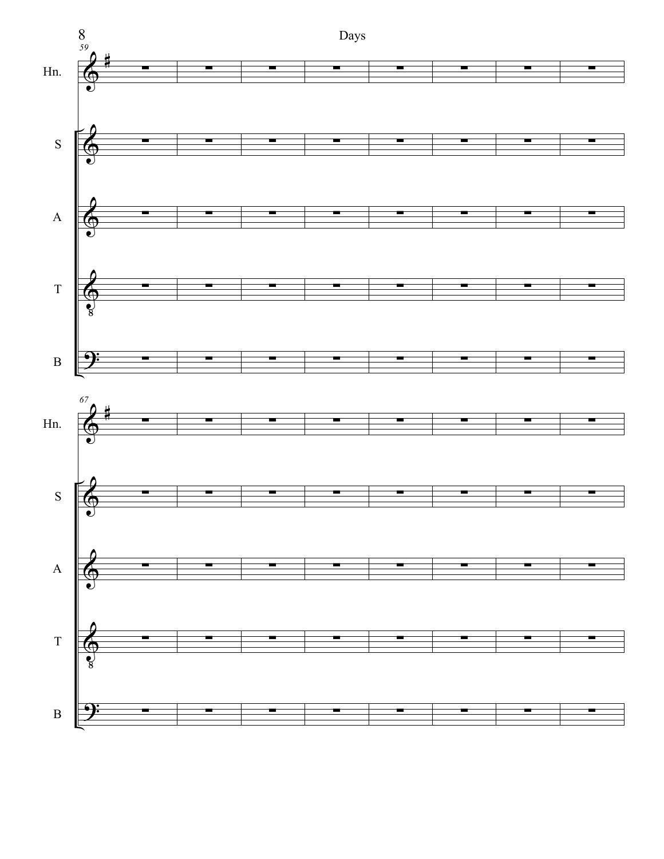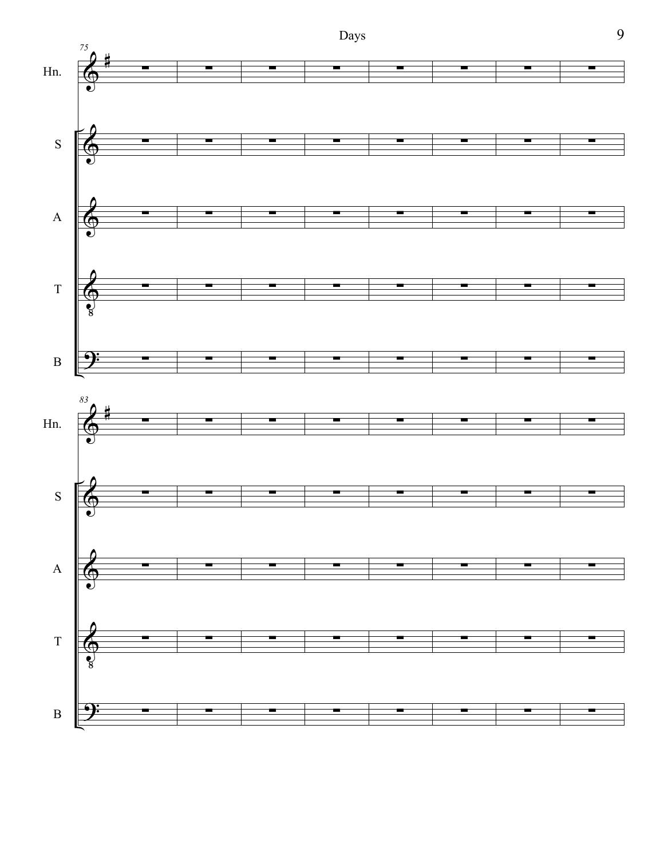

Days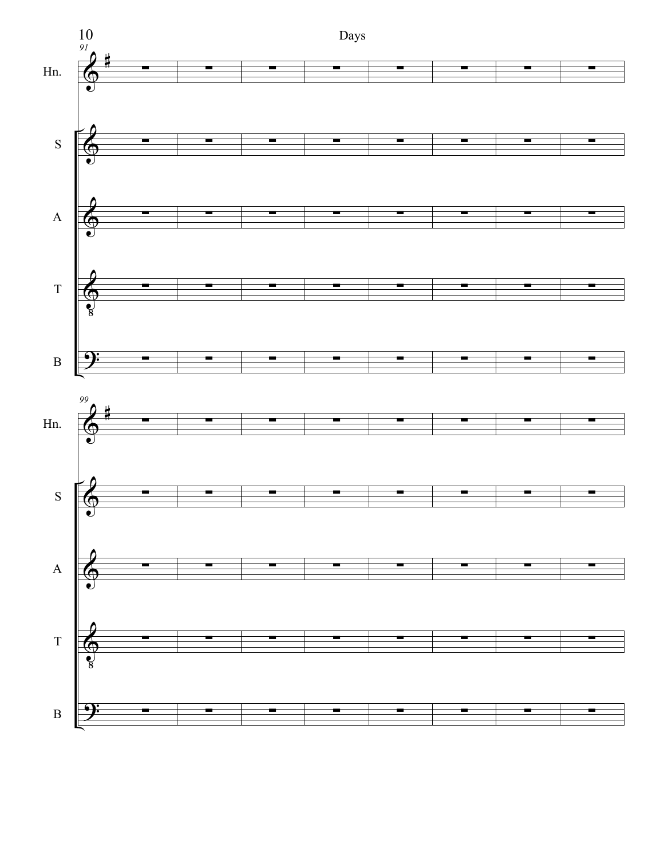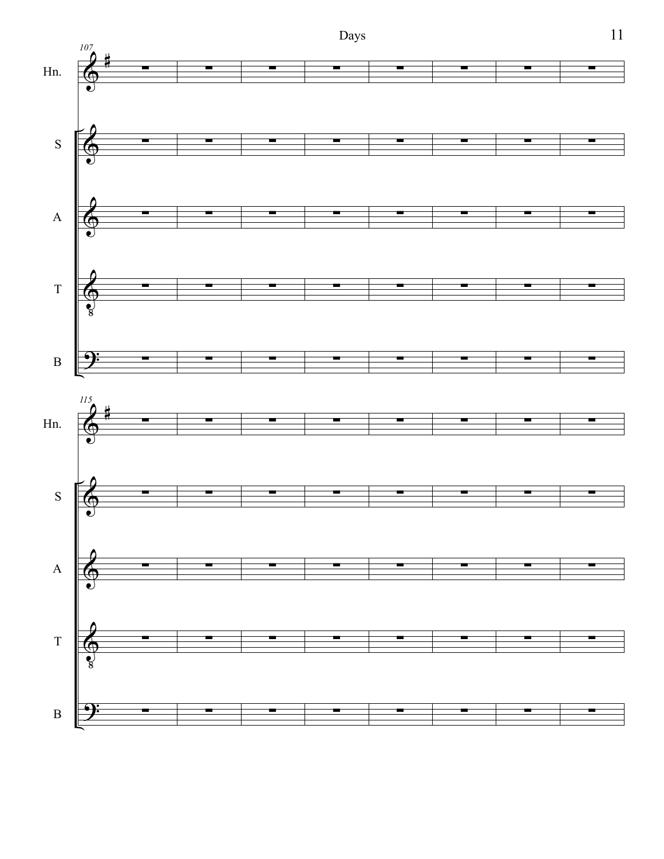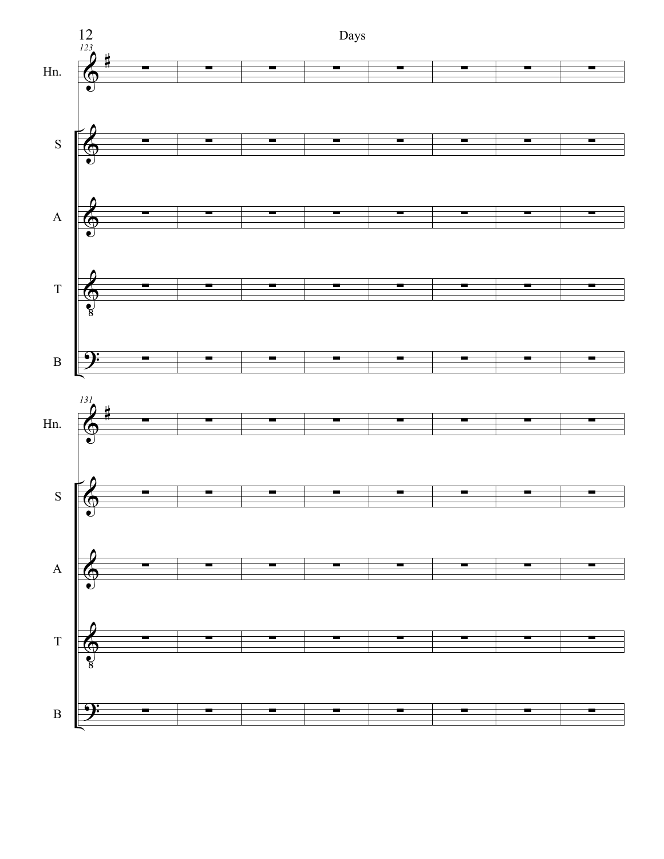